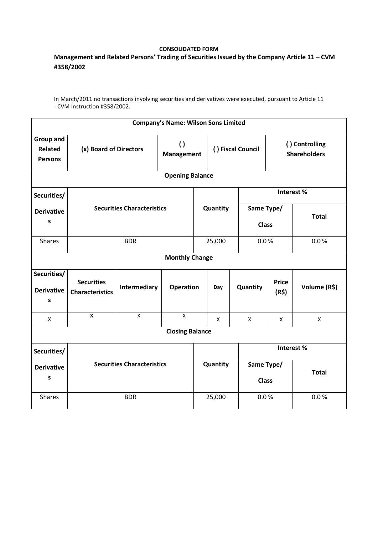## **CONSOLIDATED FORM**

## **Management and Related Persons' Trading of Securities Issued by the Company Article 11 – CVM #358/2002**

In March/2011 no transactions involving securities and derivatives were executed, pursuant to Article 11 - CVM Instruction #358/2002.

| <b>Company's Name: Wilson Sons Limited</b>           |                                                                 |              |              |                   |          |                            |                                       |                    |  |  |  |
|------------------------------------------------------|-----------------------------------------------------------------|--------------|--------------|-------------------|----------|----------------------------|---------------------------------------|--------------------|--|--|--|
| <b>Group and</b><br><b>Related</b><br><b>Persons</b> | $\left( \right)$<br>(x) Board of Directors<br><b>Management</b> |              |              | () Fiscal Council |          |                            | () Controlling<br><b>Shareholders</b> |                    |  |  |  |
| <b>Opening Balance</b>                               |                                                                 |              |              |                   |          |                            |                                       |                    |  |  |  |
| Securities/                                          | <b>Securities Characteristics</b>                               |              |              |                   |          | Interest%                  |                                       |                    |  |  |  |
| <b>Derivative</b><br>$\mathsf{s}$                    |                                                                 |              |              |                   | Quantity | Same Type/<br><b>Class</b> |                                       | <b>Total</b>       |  |  |  |
| <b>Shares</b>                                        |                                                                 | <b>BDR</b>   |              | 25,000            |          | 0.0 %                      |                                       | 0.0 %              |  |  |  |
| <b>Monthly Change</b>                                |                                                                 |              |              |                   |          |                            |                                       |                    |  |  |  |
| Securities/<br><b>Derivative</b><br>S                | <b>Securities</b><br><b>Characteristics</b>                     | Intermediary |              | <b>Operation</b>  |          | Quantity                   | <b>Price</b><br>(R\$)                 | Volume (R\$)       |  |  |  |
| $\mathsf{x}$                                         | $\pmb{\mathsf{X}}$                                              | X            | $\mathsf{x}$ |                   | X        | X                          | X                                     | $\pmb{\mathsf{X}}$ |  |  |  |
| <b>Closing Balance</b>                               |                                                                 |              |              |                   |          |                            |                                       |                    |  |  |  |
| Securities/                                          |                                                                 |              |              |                   |          | Interest%                  |                                       |                    |  |  |  |
| <b>Derivative</b><br>$\mathsf{s}$                    | <b>Securities Characteristics</b>                               |              |              | Quantity          |          | Same Type/<br><b>Class</b> |                                       | <b>Total</b>       |  |  |  |
| <b>Shares</b>                                        | <b>BDR</b>                                                      |              |              | 25,000            |          | 0.0 %                      |                                       | 0.0 %              |  |  |  |